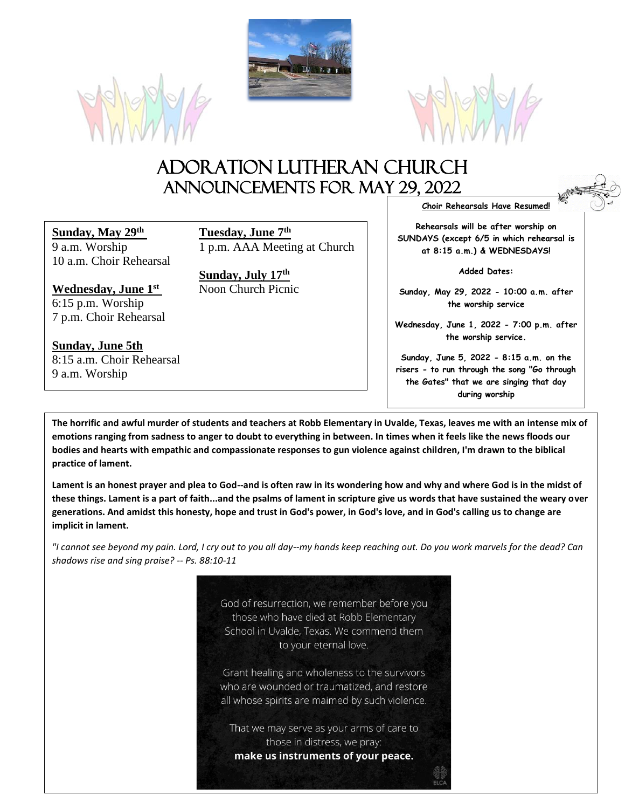





# Adoration Lutheran Church Announcements For May 29, 2022

**Sunday, May 29th Tuesday, June 7th** 10 a.m. Choir Rehearsal

**Wednesday, June 1st** 6:15 p.m. Worship 7 p.m. Choir Rehearsal

**Sunday, June 5th** 8:15 a.m. Choir Rehearsal 9 a.m. Worship

9 a.m. Worship 1 p.m. AAA Meeting at Church

**Sunday, July 17th**

**Choir Rehearsals Have Resumed!**

**Rehearsals will be after worship on SUNDAYS (except 6/5 in which rehearsal is at 8:15 a.m.) & WEDNESDAYS!**

**Added Dates:**

**Sunday, May 29, 2022 - 10:00 a.m. after the worship service**

**Wednesday, June 1, 2022 - 7:00 p.m. after the worship service.**

**Sunday, June 5, 2022 - 8:15 a.m. on the risers - to run through the song "Go through the Gates" that we are singing that day during worship**

**The horrific and awful murder of students and teachers at Robb Elementary in Uvalde, Texas, leaves me with an intense mix of emotions ranging from sadness to anger to doubt to everything in between. In times when it feels like the news floods our bodies and hearts with empathic and compassionate responses to gun violence against children, I'm drawn to the biblical practice of lament.**

**Lament is an honest prayer and plea to God--and is often raw in its wondering how and why and where God is in the midst of these things. Lament is a part of faith...and the psalms of lament in scripture give us words that have sustained the weary over generations. And amidst this honesty, hope and trust in God's power, in God's love, and in God's calling us to change are implicit in lament.**

*"I cannot see beyond my pain. Lord, I cry out to you all day--my hands keep reaching out. Do you work marvels for the dead? Can shadows rise and sing praise? -- Ps. 88:10-11*

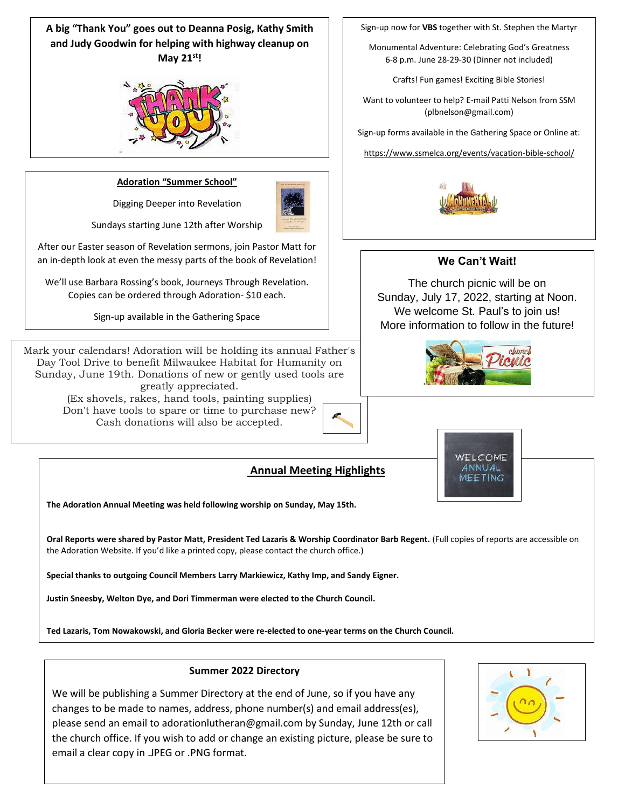**A big "Thank You" goes out to Deanna Posig, Kathy Smith and Judy Goodwin for helping with highway cleanup on May 21st!**



#### **Adoration "Summer School"**

Digging Deeper into Revelation



Sundays starting June 12th after Worship

After our Easter season of Revelation sermons, join Pastor Matt for an in-depth look at even the messy parts of the book of Revelation!

We'll use Barbara Rossing's book, Journeys Through Revelation. Copies can be ordered through Adoration- \$10 each.

Sign-up available in the Gathering Space

Mark your calendars! Adoration will be holding its annual Father's Day Tool Drive to benefit Milwaukee Habitat for Humanity on Sunday, June 19th. Donations of new or gently used tools are greatly appreciated.

(Ex shovels, rakes, hand tools, painting supplies) Don't have tools to spare or time to purchase new? Cash donations will also be accepted.

#### Sign-up now for **VBS** together with St. Stephen the Martyr

Monumental Adventure: Celebrating God's Greatness 6-8 p.m. June 28-29-30 (Dinner not included)

Crafts! Fun games! Exciting Bible Stories!

Want to volunteer to help? E-mail Patti Nelson from SSM (plbnelson@gmail.com)

Sign-up forms available in the Gathering Space or Online at:

https://www.ssmelca.org/events/vacation-bible-school/



## **We Can't Wait!**

The church picnic will be on Sunday, July 17, 2022, starting at Noon. We welcome St. Paul's to join us! More information to follow in the future!





### **Annual Meeting Highlights**

**The Adoration Annual Meeting was held following worship on Sunday, May 15th.**

**Oral Reports were shared by Pastor Matt, President Ted Lazaris & Worship Coordinator Barb Regent.** (Full copies of reports are accessible on the Adoration Website. If you'd like a printed copy, please contact the church office.)

**Special thanks to outgoing Council Members Larry Markiewicz, Kathy Imp, and Sandy Eigner.**

**Justin Sneesby, Welton Dye, and Dori Timmerman were elected to the Church Council.**

**Ted Lazaris, Tom Nowakowski, and Gloria Becker were re-elected to one-year terms on the Church Council.**

#### **Summer 2022 Directory**

We will be publishing a Summer Directory at the end of June, so if you have any changes to be made to names, address, phone number(s) and email address(es), please send an email to adorationlutheran@gmail.com by Sunday, June 12th or call the church office. If you wish to add or change an existing picture, please be sure to email a clear copy in .JPEG or .PNG format.

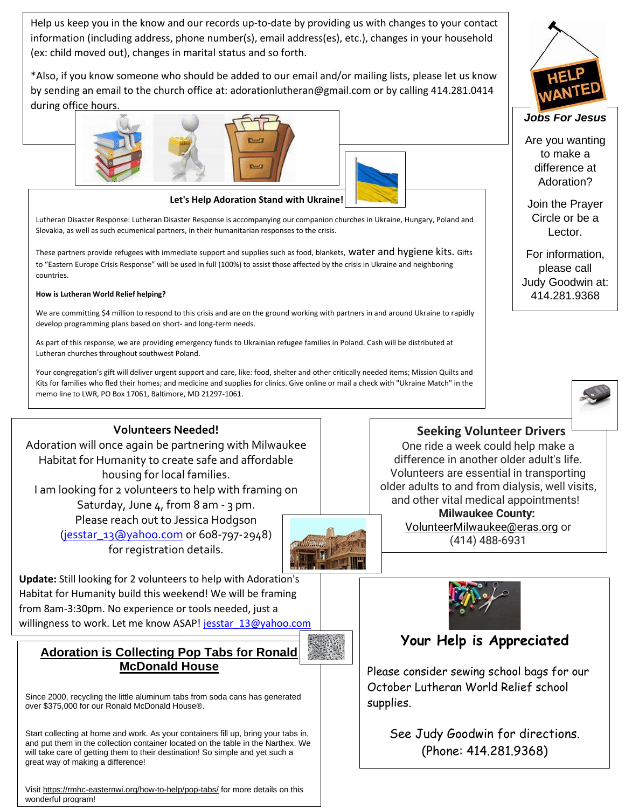Help us keep you in the know and our records up-to-date by providing us with changes to your contact information (including address, phone number(s), email address(es), etc.), changes in your household (ex: child moved out), changes in marital status and so forth.

\*Also, if you know someone who should be added to our email and/or mailing lists, please let us know by sending an email to the church office at: adorationlutheran@gmail.com or by calling 414.281.0414 during office hours.





Lutheran Disaster Response: Lutheran Disaster Response is accompanying our companion churches in Ukraine, Hungary, Poland and Slovakia, as well as such ecumenical partners, in their humanitarian responses to the crisis.

These partners provide refugees with immediate support and supplies such as food, blankets, water and hygiene kits. Gifts to "Eastern Europe Crisis Response" will be used in full (100%) to assist those affected by the crisis in Ukraine and neighboring countries.

#### **How is Lutheran World Relief helping?**

We are committing \$4 million to respond to this crisis and are on the ground working with partners in and around Ukraine to rapidly develop programming plans based on short- and long-term needs.

As part of this response, we are providing emergency funds to Ukrainian refugee families in Poland. Cash will be distributed at Lutheran churches throughout southwest Poland.

memo line to LWR, PO Box 17061, Baltimore, MD 21297-1061. Your congregation's gift will deliver urgent support and care, like: food, shelter and other critically needed items; Mission Quilts and Kits for families who fled their homes; and medicine and supplies for clinics. Give online or mail a check with "Ukraine Match" in the

## **Volunteers Needed!**

Adoration will once again be partnering with Milwaukee Habitat for Humanity to create safe and affordable housing for local families. I am looking for 2 volunteers to help with framing on Saturday, June 4, from 8 am - 3 pm. Please reach out to Jessica Hodgson [\(jesstar\\_13@yahoo.com](mailto:jesstar_13@yahoo.com) or 608-797-2948) for registration details.



**Update:** Still looking for 2 volunteers to help with Adoration's Habitat for Humanity build this weekend! We will be framing from 8am-3:30pm. No experience or tools needed, just a willingness to work. Let me know ASAP! jesstar 13@yahoo.com

## **Adoration is Collecting Pop Tabs for Ronald McDonald House**

Since 2000, recycling the little aluminum tabs from soda cans has generated over \$375,000 for our Ronald McDonald House®.

Start collecting at home and work. As your containers fill up, bring your tabs in, and put them in the collection container located on the table in the Narthex. We will take care of getting them to their destination! So simple and yet such a great way of making a difference!

Visit<https://rmhc-easternwi.org/how-to-help/pop-tabs/> for more details on this wonderful program!

One ride a week could help make a difference in another older adult's life. Volunteers are essential in transporting older adults to and from dialysis, well visits, and other vital medical appointments! **Milwaukee County:** [VolunteerMilwaukee@eras.org](mailto:VolunteerMilwaukee@eras.org) or (414) 488-6931

 **Seeking Volunteer Drivers**



# **Your Help is Appreciated**

Please consider sewing school bags for our October Lutheran World Relief school supplies.

> See Judy Goodwin for directions. (Phone: 414.281.9368)

![](_page_2_Picture_23.jpeg)

### *Jobs For Jesus*

Are you wanting to make a difference at Adoration?

Join the Prayer Circle or be a Lector.

For information, please call Judy Goodwin at: 414.281.9368

![](_page_2_Picture_28.jpeg)